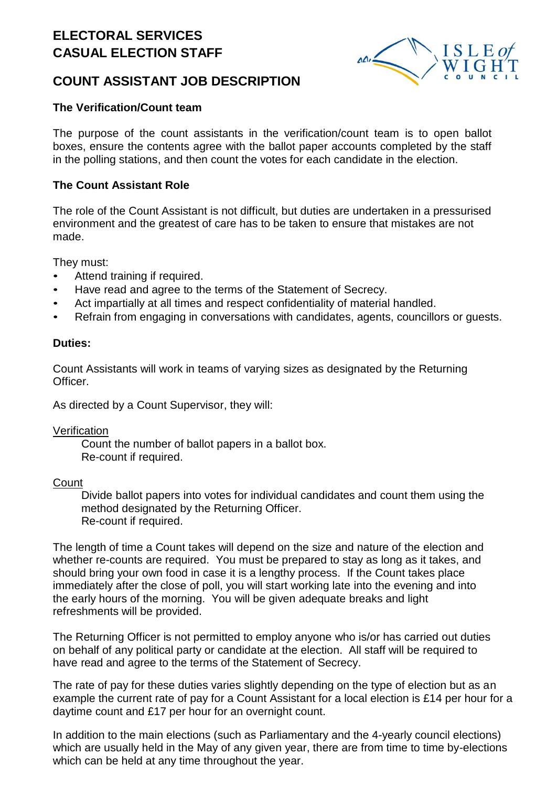## **ELECTORAL SERVICES CASUAL ELECTION STAFF**



### **COUNT ASSISTANT JOB DESCRIPTION**

#### **The Verification/Count team**

The purpose of the count assistants in the verification/count team is to open ballot boxes, ensure the contents agree with the ballot paper accounts completed by the staff in the polling stations, and then count the votes for each candidate in the election.

#### **The Count Assistant Role**

The role of the Count Assistant is not difficult, but duties are undertaken in a pressurised environment and the greatest of care has to be taken to ensure that mistakes are not made.

They must:

- Attend training if required.
- Have read and agree to the terms of the Statement of Secrecy.
- Act impartially at all times and respect confidentiality of material handled.
- Refrain from engaging in conversations with candidates, agents, councillors or guests.

#### **Duties:**

Count Assistants will work in teams of varying sizes as designated by the Returning Officer.

As directed by a Count Supervisor, they will:

Verification

Count the number of ballot papers in a ballot box. Re-count if required.

#### **Count**

Divide ballot papers into votes for individual candidates and count them using the method designated by the Returning Officer. Re-count if required.

The length of time a Count takes will depend on the size and nature of the election and whether re-counts are required. You must be prepared to stay as long as it takes, and should bring your own food in case it is a lengthy process. If the Count takes place immediately after the close of poll, you will start working late into the evening and into the early hours of the morning. You will be given adequate breaks and light refreshments will be provided.

The Returning Officer is not permitted to employ anyone who is/or has carried out duties on behalf of any political party or candidate at the election. All staff will be required to have read and agree to the terms of the Statement of Secrecy.

The rate of pay for these duties varies slightly depending on the type of election but as an example the current rate of pay for a Count Assistant for a local election is £14 per hour for a daytime count and £17 per hour for an overnight count.

In addition to the main elections (such as Parliamentary and the 4-yearly council elections) which are usually held in the May of any given year, there are from time to time by-elections which can be held at any time throughout the year.